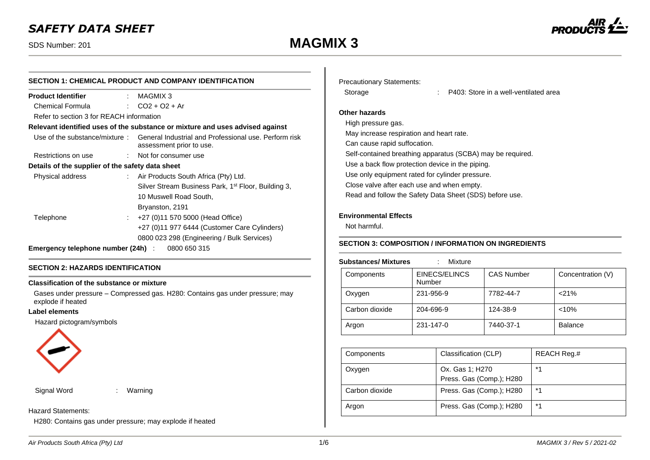# *SAFETY DATA SHEET*

# SDS Number: 201 **MAGMIX 3**



| <b>SECTION 1: CHEMICAL PRODUCT AND COMPANY IDENTIFICATION</b> |                                                                                                                 |  |  |  |  |
|---------------------------------------------------------------|-----------------------------------------------------------------------------------------------------------------|--|--|--|--|
|                                                               | $:$ MAGMIX 3                                                                                                    |  |  |  |  |
|                                                               | : $CO2 + O2 + Ar$                                                                                               |  |  |  |  |
|                                                               | Refer to section 3 for REACH information                                                                        |  |  |  |  |
|                                                               | Relevant identified uses of the substance or mixture and uses advised against                                   |  |  |  |  |
|                                                               | Use of the substance/mixture: General Industrial and Professional use. Perform risk<br>assessment prior to use. |  |  |  |  |
|                                                               | : Not for consumer use                                                                                          |  |  |  |  |
|                                                               | Details of the supplier of the safety data sheet                                                                |  |  |  |  |
|                                                               | : Air Products South Africa (Pty) Ltd.                                                                          |  |  |  |  |
|                                                               | Silver Stream Business Park, 1 <sup>st</sup> Floor, Building 3,                                                 |  |  |  |  |
|                                                               | 10 Muswell Road South,                                                                                          |  |  |  |  |
|                                                               | Bryanston, 2191                                                                                                 |  |  |  |  |
|                                                               | +27 (0)11 570 5000 (Head Office)                                                                                |  |  |  |  |
|                                                               | +27 (0)11 977 6444 (Customer Care Cylinders)                                                                    |  |  |  |  |
|                                                               | 0800 023 298 (Engineering / Bulk Services)                                                                      |  |  |  |  |
|                                                               | <b>Emergency telephone number (24h)</b> : 0800 650 315                                                          |  |  |  |  |
|                                                               | t.                                                                                                              |  |  |  |  |

# **SECTION 2: HAZARDS IDENTIFICATION**

#### **Classification of the substance or mixture**

Gases under pressure – Compressed gas. H280: Contains gas under pressure; may explode if heated

#### **Label elements**

Hazard pictogram/symbols



Signal Word : Warning

#### Hazard Statements:

H280: Contains gas under pressure; may explode if heated

| <b>Precautionary Statements:</b> |
|----------------------------------|
|                                  |

Storage : P403: Store in a well-ventilated area

# **Other hazards**

High pressure gas. May increase respiration and heart rate. Can cause rapid suffocation. Self-contained breathing apparatus (SCBA) may be required. Use a back flow protection device in the piping. Use only equipment rated for cylinder pressure. Close valve after each use and when empty. Read and follow the Safety Data Sheet (SDS) before use.

## **Environmental Effects**

Not harmful.

# **SECTION 3: COMPOSITION / INFORMATION ON INGREDIENTS**

#### **Substances/ Mixtures** : Mixture

| Components     | EINECS/ELINCS<br>Number | <b>CAS Number</b> | Concentration (V) |
|----------------|-------------------------|-------------------|-------------------|
| Oxygen         | 231-956-9               | 7782-44-7         | < 21%             |
| Carbon dioxide | 204-696-9               | 124-38-9          | < 10%             |
| Argon          | 231-147-0               | 7440-37-1         | <b>Balance</b>    |

| Components     | Classification (CLP)                        | REACH Reg.# |
|----------------|---------------------------------------------|-------------|
| Oxygen         | Ox. Gas 1; H270<br>Press. Gas (Comp.); H280 | $*1$        |
| Carbon dioxide | Press. Gas (Comp.); H280                    | $*1$        |
| Argon          | Press. Gas (Comp.); H280                    | $*1$        |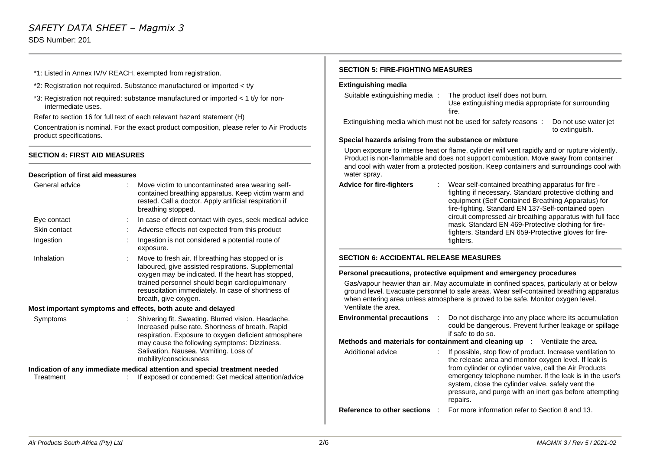# *SAFETY DATA SHEET – Magmix 3* SDS Number: 201

- \*1: Listed in Annex IV/V REACH, exempted from registration.
- \*2: Registration not required. Substance manufactured or imported < t/y
- \*3: Registration not required: substance manufactured or imported < 1 t/y for nonintermediate uses.

Refer to section 16 for full text of each relevant hazard statement (H)

Concentration is nominal. For the exact product composition, please refer to Air Products product specifications.

#### **SECTION 4: FIRST AID MEASURES**

#### **Description of first aid measures**

| General advice | Move victim to uncontaminated area wearing self-<br>contained breathing apparatus. Keep victim warm and<br>rested. Call a doctor. Apply artificial respiration if<br>breathing stopped.                                                                                                       | Ad                              |
|----------------|-----------------------------------------------------------------------------------------------------------------------------------------------------------------------------------------------------------------------------------------------------------------------------------------------|---------------------------------|
| Eye contact    | In case of direct contact with eyes, seek medical advice                                                                                                                                                                                                                                      |                                 |
| Skin contact   | Adverse effects not expected from this product                                                                                                                                                                                                                                                |                                 |
| Ingestion      | Ingestion is not considered a potential route of<br>exposure.                                                                                                                                                                                                                                 |                                 |
| Inhalation     | Move to fresh air. If breathing has stopped or is<br>laboured, give assisted respirations. Supplemental<br>oxygen may be indicated. If the heart has stopped,<br>trained personnel should begin cardiopulmonary<br>resuscitation immediately. In case of shortness of<br>breath, give oxygen. | <b>SE</b><br>Pel<br>G<br>g<br>W |
|                | Most important symptoms and effects, both acute and delayed                                                                                                                                                                                                                                   | $\vee$                          |
| Symptoms       | Shivering fit. Sweating. Blurred vision. Headache.<br>Increased pulse rate. Shortness of breath. Rapid<br>respiration. Exposure to oxygen deficient atmosphere<br>may cause the following symptoms: Dizziness.<br>Salivation. Nausea. Vomiting. Loss of<br>mobility/consciousness             | En<br>Me<br>A                   |
|                | Indication of any immediate medical attention and special treatment needed                                                                                                                                                                                                                    |                                 |
| Treatment      | If exposed or concerned: Get medical attention/advice                                                                                                                                                                                                                                         |                                 |

#### **SECTION 5: FIRE-FIGHTING MEASURES**

## **Extinguishing media**

| Suitable extinguishing media:                                | The product itself does not burn.<br>Use extinguishing media appropriate for surrounding<br>fire. |                                        |
|--------------------------------------------------------------|---------------------------------------------------------------------------------------------------|----------------------------------------|
|                                                              | Extinguishing media which must not be used for safety reasons:                                    | Do not use water jet<br>to extinguish. |
| <b>Concial bozorde origina from the oubotones or mivture</b> |                                                                                                   |                                        |

#### **Special hazards arising from the substance or mixture**

Upon exposure to intense heat or flame, cylinder will vent rapidly and or rupture violently. Product is non-flammable and does not support combustion. Move away from container and cool with water from a protected position. Keep containers and surroundings cool with water spray.

| Wear self-contained breathing apparatus for fire -<br>fighting if necessary. Standard protective clothing and<br>equipment (Self Contained Breathing Apparatus) for<br>fire-fighting. Standard EN 137-Self-contained open<br>circuit compressed air breathing apparatus with full face<br>mask. Standard EN 469-Protective clothing for fire-<br>fighters. Standard EN 659-Protective gloves for fire-<br>fighters. |
|---------------------------------------------------------------------------------------------------------------------------------------------------------------------------------------------------------------------------------------------------------------------------------------------------------------------------------------------------------------------------------------------------------------------|
|                                                                                                                                                                                                                                                                                                                                                                                                                     |

#### **CTION 6: ACCIDENTAL RELEASE MEASURES**

#### **Personal precautions, protective equipment and emergency procedures**

Gas/vapour heavier than air. May accumulate in confined spaces, particularly at or below ground level. Evacuate personnel to safe areas. Wear self-contained breathing apparatus when entering area unless atmosphere is proved to be safe. Monitor oxygen level. Ventilate the area.

| <b>Environmental precautions</b> | $\sim 10^{11}$ m $^{-1}$ | Do not discharge into any place where its accumulation<br>could be dangerous. Prevent further leakage or spillage<br>if safe to do so.                                                                                                    |
|----------------------------------|--------------------------|-------------------------------------------------------------------------------------------------------------------------------------------------------------------------------------------------------------------------------------------|
|                                  |                          | <b>Methods and materials for containment and cleaning up</b> $\therefore$ Ventilate the area.                                                                                                                                             |
| Additional advice                |                          | If possible, stop flow of product. Increase ventilation to<br>the release area and monitor oxygen level. If leak is<br>from cylinder or cylinder valve, call the Air Products<br>emergency telephone number. If the leak is in the user's |

**Reference to other sections** : For more information refer to Section 8 and 13.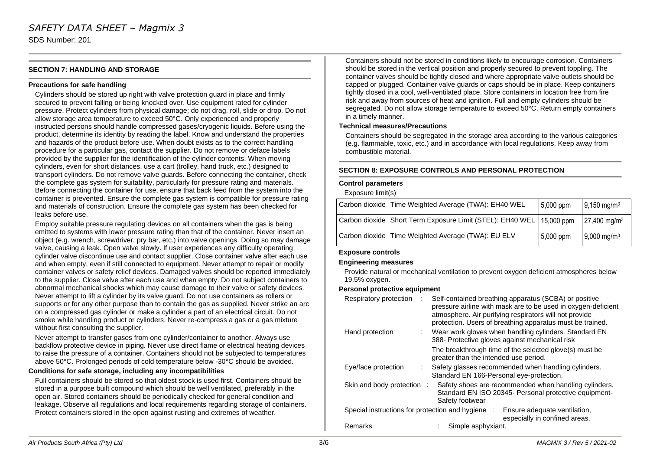### **SECTION 7: HANDLING AND STORAGE**

#### **Precautions for safe handling**

Cylinders should be stored up right with valve protection guard in place and firmly secured to prevent falling or being knocked over. Use equipment rated for cylinder pressure. Protect cylinders from physical damage; do not drag, roll, slide or drop. Do not allow storage area temperature to exceed 50°C. Only experienced and properly instructed persons should handle compressed gases/cryogenic liquids. Before using the product, determine its identity by reading the label. Know and understand the properties and hazards of the product before use. When doubt exists as to the correct handling procedure for a particular gas, contact the supplier. Do not remove or deface labels provided by the supplier for the identification of the cylinder contents. When moving cylinders, even for short distances, use a cart (trolley, hand truck, etc.) designed to transport cylinders. Do not remove valve guards. Before connecting the container, check the complete gas system for suitability, particularly for pressure rating and materials. Before connecting the container for use, ensure that back feed from the system into the container is prevented. Ensure the complete gas system is compatible for pressure rating and materials of construction. Ensure the complete gas system has been checked for leaks before use.

Employ suitable pressure regulating devices on all containers when the gas is being emitted to systems with lower pressure rating than that of the container. Never insert an object (e.g. wrench, screwdriver, pry bar, etc.) into valve openings. Doing so may damage valve, causing a leak. Open valve slowly. If user experiences any difficulty operating cylinder valve discontinue use and contact supplier. Close container valve after each use and when empty, even if still connected to equipment. Never attempt to repair or modify container valves or safety relief devices. Damaged valves should be reported immediately to the supplier. Close valve after each use and when empty. Do not subject containers to abnormal mechanical shocks which may cause damage to their valve or safety devices. Never attempt to lift a cylinder by its valve guard. Do not use containers as rollers or supports or for any other purpose than to contain the gas as supplied. Never strike an arc on a compressed gas cylinder or make a cylinder a part of an electrical circuit. Do not smoke while handling product or cylinders. Never re-compress a gas or a gas mixture without first consulting the supplier.

Never attempt to transfer gases from one cylinder/container to another. Always use backflow protective device in piping. Never use direct flame or electrical heating devices to raise the pressure of a container. Containers should not be subjected to temperatures above 50°C. Prolonged periods of cold temperature below -30°C should be avoided.

#### **Conditions for safe storage, including any incompatibilities**

Full containers should be stored so that oldest stock is used first. Containers should be stored in a purpose built compound which should be well ventilated, preferably in the open air. Stored containers should be periodically checked for general condition and leakage. Observe all regulations and local requirements regarding storage of containers. Protect containers stored in the open against rusting and extremes of weather.

Containers should not be stored in conditions likely to encourage corrosion. Containers should be stored in the vertical position and properly secured to prevent toppling. The container valves should be tightly closed and where appropriate valve outlets should be capped or plugged. Container valve guards or caps should be in place. Keep containers tightly closed in a cool, well-ventilated place. Store containers in location free from fire risk and away from sources of heat and ignition. Full and empty cylinders should be segregated. Do not allow storage temperature to exceed 50°C. Return empty containers in a timely manner.

#### **Technical measures/Precautions**

Containers should be segregated in the storage area according to the various categories (e.g. flammable, toxic, etc.) and in accordance with local regulations. Keep away from combustible material.

#### **SECTION 8: EXPOSURE CONTROLS AND PERSONAL PROTECTION**

#### **Control parameters**

Exposure limit(s)

| Carbon dioxide   Time Weighted Average (TWA): EH40 WEL                   | 5,000 ppm | $9,150$ mg/m <sup>3</sup>  |
|--------------------------------------------------------------------------|-----------|----------------------------|
| Carbon dioxide   Short Term Exposure Limit (STEL): EH40 WEL   15,000 ppm |           | $27,400$ mg/m <sup>3</sup> |
| Carbon dioxide   Time Weighted Average (TWA): EU ELV                     | 5,000 ppm | 9,000 mg/m <sup>3</sup>    |

#### **Exposure controls**

#### **Engineering measures**

Provide natural or mechanical ventilation to prevent oxygen deficient atmospheres below 19.5% oxygen.

#### **Personal protective equipment**

| Respiratory protection                            | Self-contained breathing apparatus (SCBA) or positive<br>pressure airline with mask are to be used in oxygen-deficient<br>atmosphere. Air purifying respirators will not provide<br>protection. Users of breathing apparatus must be trained. |  |  |  |  |
|---------------------------------------------------|-----------------------------------------------------------------------------------------------------------------------------------------------------------------------------------------------------------------------------------------------|--|--|--|--|
| Hand protection                                   | : Wear work gloves when handling cylinders. Standard EN<br>388- Protective gloves against mechanical risk                                                                                                                                     |  |  |  |  |
|                                                   | The breakthrough time of the selected glove(s) must be<br>greater than the intended use period.                                                                                                                                               |  |  |  |  |
| Eye/face protection                               | Safety glasses recommended when handling cylinders.<br>Standard EN 166-Personal eye-protection.                                                                                                                                               |  |  |  |  |
| Skin and body protection :                        | Safety shoes are recommended when handling cylinders.<br>Standard EN ISO 20345- Personal protective equipment-<br>Safety footwear                                                                                                             |  |  |  |  |
| Special instructions for protection and hygiene : | Ensure adequate ventilation,<br>especially in confined areas.                                                                                                                                                                                 |  |  |  |  |
| Remarks                                           | Simple asphyxiant.                                                                                                                                                                                                                            |  |  |  |  |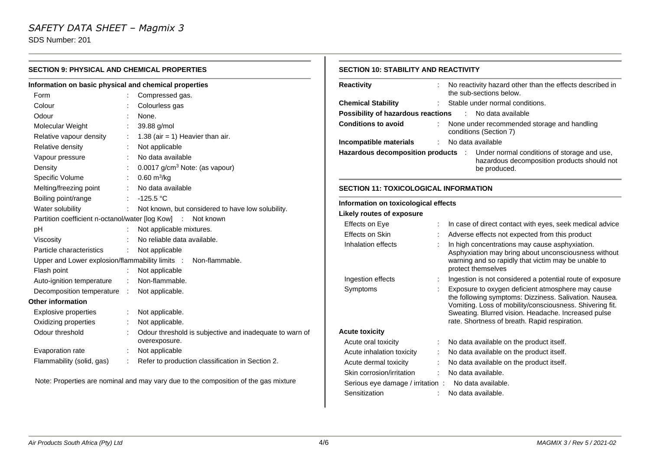# *SAFETY DATA SHEET – Magmix 3*

SDS Number: 201

 $\sim$ 

| <b>SECTION 9: PHYSICAL AND CHEMICAL PROPERTIES</b> |                                                         | <b>SECTION 10: STABILITY AND REACTIVITY</b>                                                                                                                                                                                                                                                                                          |                                                                                                                                                                                                |                                 |                                                                                                                                                                                              |  |
|----------------------------------------------------|---------------------------------------------------------|--------------------------------------------------------------------------------------------------------------------------------------------------------------------------------------------------------------------------------------------------------------------------------------------------------------------------------------|------------------------------------------------------------------------------------------------------------------------------------------------------------------------------------------------|---------------------------------|----------------------------------------------------------------------------------------------------------------------------------------------------------------------------------------------|--|
|                                                    |                                                         | <b>Reactivity</b>                                                                                                                                                                                                                                                                                                                    |                                                                                                                                                                                                |                                 | No reactivity hazard other than the effects described in                                                                                                                                     |  |
|                                                    | Compressed gas.                                         |                                                                                                                                                                                                                                                                                                                                      |                                                                                                                                                                                                |                                 | the sub-sections below.                                                                                                                                                                      |  |
|                                                    | Colourless gas                                          |                                                                                                                                                                                                                                                                                                                                      |                                                                                                                                                                                                |                                 | Stable under normal conditions.                                                                                                                                                              |  |
|                                                    | None.                                                   |                                                                                                                                                                                                                                                                                                                                      |                                                                                                                                                                                                |                                 | : No data available                                                                                                                                                                          |  |
|                                                    | 39.88 g/mol                                             |                                                                                                                                                                                                                                                                                                                                      |                                                                                                                                                                                                |                                 | None under recommended storage and handling<br>conditions (Section 7)                                                                                                                        |  |
|                                                    | 1.38 (air = 1) Heavier than air.                        |                                                                                                                                                                                                                                                                                                                                      |                                                                                                                                                                                                |                                 |                                                                                                                                                                                              |  |
|                                                    | Not applicable                                          |                                                                                                                                                                                                                                                                                                                                      |                                                                                                                                                                                                |                                 | Under normal conditions of storage and use,                                                                                                                                                  |  |
|                                                    | No data available                                       |                                                                                                                                                                                                                                                                                                                                      |                                                                                                                                                                                                |                                 | hazardous decomposition products should not                                                                                                                                                  |  |
|                                                    | 0.0017 g/cm <sup>3</sup> Note: (as vapour)              |                                                                                                                                                                                                                                                                                                                                      |                                                                                                                                                                                                |                                 | be produced.                                                                                                                                                                                 |  |
|                                                    | $0.60 \text{ m}^3/\text{kg}$                            |                                                                                                                                                                                                                                                                                                                                      |                                                                                                                                                                                                |                                 |                                                                                                                                                                                              |  |
|                                                    | No data available                                       |                                                                                                                                                                                                                                                                                                                                      |                                                                                                                                                                                                |                                 |                                                                                                                                                                                              |  |
|                                                    | $-125.5 °C$                                             |                                                                                                                                                                                                                                                                                                                                      |                                                                                                                                                                                                |                                 |                                                                                                                                                                                              |  |
|                                                    | Not known, but considered to have low solubility.       |                                                                                                                                                                                                                                                                                                                                      |                                                                                                                                                                                                |                                 |                                                                                                                                                                                              |  |
|                                                    |                                                         |                                                                                                                                                                                                                                                                                                                                      |                                                                                                                                                                                                |                                 | In case of direct contact with eyes, seek medical advice                                                                                                                                     |  |
|                                                    | Not applicable mixtures.                                |                                                                                                                                                                                                                                                                                                                                      |                                                                                                                                                                                                |                                 | Adverse effects not expected from this product                                                                                                                                               |  |
|                                                    | No reliable data available.                             |                                                                                                                                                                                                                                                                                                                                      |                                                                                                                                                                                                |                                 | In high concentrations may cause asphyxiation.                                                                                                                                               |  |
|                                                    | Not applicable                                          |                                                                                                                                                                                                                                                                                                                                      |                                                                                                                                                                                                |                                 | Asphyxiation may bring about unconsciousness without                                                                                                                                         |  |
|                                                    | Non-flammable.                                          |                                                                                                                                                                                                                                                                                                                                      |                                                                                                                                                                                                |                                 | warning and so rapidly that victim may be unable to                                                                                                                                          |  |
|                                                    | Not applicable                                          |                                                                                                                                                                                                                                                                                                                                      |                                                                                                                                                                                                |                                 | protect themselves                                                                                                                                                                           |  |
|                                                    | Non-flammable.                                          |                                                                                                                                                                                                                                                                                                                                      |                                                                                                                                                                                                |                                 | Ingestion is not considered a potential route of exposure                                                                                                                                    |  |
|                                                    | Not applicable.                                         | Symptoms                                                                                                                                                                                                                                                                                                                             |                                                                                                                                                                                                |                                 | Exposure to oxygen deficient atmosphere may cause                                                                                                                                            |  |
|                                                    |                                                         |                                                                                                                                                                                                                                                                                                                                      |                                                                                                                                                                                                |                                 | the following symptoms: Dizziness. Salivation. Nausea.<br>Vomiting. Loss of mobility/consciousness. Shivering fit.                                                                           |  |
|                                                    | Not applicable.                                         |                                                                                                                                                                                                                                                                                                                                      |                                                                                                                                                                                                |                                 | Sweating. Blurred vision. Headache. Increased pulse                                                                                                                                          |  |
|                                                    | Not applicable.                                         |                                                                                                                                                                                                                                                                                                                                      |                                                                                                                                                                                                |                                 | rate. Shortness of breath. Rapid respiration.                                                                                                                                                |  |
|                                                    | Odour threshold is subjective and inadequate to warn of | <b>Acute toxicity</b>                                                                                                                                                                                                                                                                                                                |                                                                                                                                                                                                |                                 |                                                                                                                                                                                              |  |
|                                                    | overexposure.                                           | Acute oral toxicity                                                                                                                                                                                                                                                                                                                  |                                                                                                                                                                                                |                                 | No data available on the product itself.                                                                                                                                                     |  |
|                                                    |                                                         | Acute inhalation toxicity                                                                                                                                                                                                                                                                                                            |                                                                                                                                                                                                |                                 | No data available on the product itself.                                                                                                                                                     |  |
|                                                    |                                                         | Acute dermal toxicity                                                                                                                                                                                                                                                                                                                |                                                                                                                                                                                                |                                 | No data available on the product itself.                                                                                                                                                     |  |
|                                                    |                                                         | Skin corrosion/irritation                                                                                                                                                                                                                                                                                                            |                                                                                                                                                                                                |                                 | No data available.                                                                                                                                                                           |  |
|                                                    |                                                         |                                                                                                                                                                                                                                                                                                                                      |                                                                                                                                                                                                |                                 | No data available.                                                                                                                                                                           |  |
|                                                    |                                                         | Sensitization                                                                                                                                                                                                                                                                                                                        |                                                                                                                                                                                                |                                 | No data available.                                                                                                                                                                           |  |
|                                                    |                                                         | Information on basic physical and chemical properties<br>Partition coefficient n-octanol/water [log Kow] : Not known<br>Upper and Lower explosion/flammability limits :<br>Not applicable<br>Refer to production classification in Section 2.<br>Note: Properties are nominal and may vary due to the composition of the gas mixture | <b>Chemical Stability</b><br><b>Conditions to avoid</b><br>Incompatible materials<br>Likely routes of exposure<br>Effects on Eye<br>Effects on Skin<br>Inhalation effects<br>Ingestion effects | Serious eye damage / irritation | <b>Possibility of hazardous reactions</b><br>No data available<br>Hazardous decomposition products :<br><b>SECTION 11: TOXICOLOGICAL INFORMATION</b><br>Information on toxicological effects |  |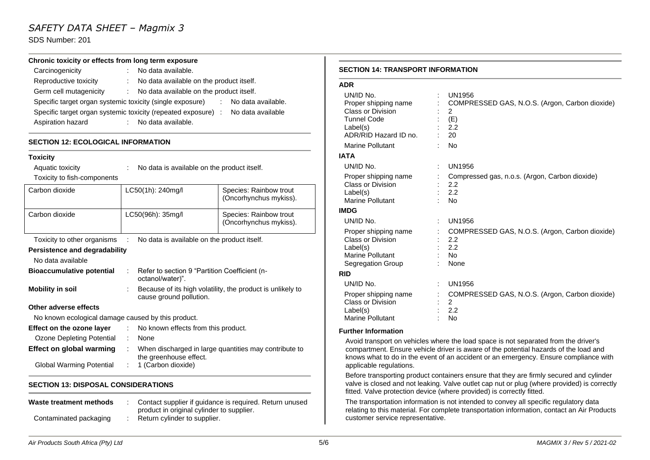# *SAFETY DATA SHEET – Magmix 3*

SDS Number: 201

#### **Chronic toxicity or effects from long term exposure**

| Carcinogenicity                                                                 |       | : No data available.                     |    |                    |  |
|---------------------------------------------------------------------------------|-------|------------------------------------------|----|--------------------|--|
| Reproductive toxicity                                                           | diam. | No data available on the product itself. |    |                    |  |
| Germ cell mutagenicity                                                          | t in  | No data available on the product itself. |    |                    |  |
| Specific target organ systemic toxicity (single exposure)                       |       |                                          | ÷. | No data available. |  |
| Specific target organ systemic toxicity (repeated exposure) : No data available |       |                                          |    |                    |  |
| Aspiration hazard                                                               |       | No data available.                       |    |                    |  |

## **SECTION 12: ECOLOGICAL INFORMATION**

#### **Toxicity**

| Aquatic toxicity                                   | No data is available on the product itself.                            |                                                                                       |                                                  |  |
|----------------------------------------------------|------------------------------------------------------------------------|---------------------------------------------------------------------------------------|--------------------------------------------------|--|
| Toxicity to fish-components                        |                                                                        |                                                                                       |                                                  |  |
| Carbon dioxide                                     | LC50(1h): 240mg/l                                                      |                                                                                       | Species: Rainbow trout<br>(Oncorhynchus mykiss). |  |
| Carbon dioxide                                     |                                                                        | LC50(96h): 35mg/l                                                                     | Species: Rainbow trout<br>(Oncorhynchus mykiss). |  |
| Toxicity to other organisms                        | No data is available on the product itself.                            |                                                                                       |                                                  |  |
| Persistence and degradability                      |                                                                        |                                                                                       |                                                  |  |
| No data available                                  |                                                                        |                                                                                       |                                                  |  |
| <b>Bioaccumulative potential</b>                   | Refer to section 9 "Partition Coefficient (n-<br>÷<br>octanol/water)". |                                                                                       |                                                  |  |
| <b>Mobility in soil</b>                            |                                                                        | Because of its high volatility, the product is unlikely to<br>cause ground pollution. |                                                  |  |
| Other adverse effects                              |                                                                        |                                                                                       |                                                  |  |
| No known ecological damage caused by this product. |                                                                        |                                                                                       |                                                  |  |
| Effect on the ozone layer                          | ÷.                                                                     | No known effects from this product.                                                   |                                                  |  |
| Ozone Depleting Potential                          | ÷                                                                      | None                                                                                  |                                                  |  |
| <b>Effect on global warming</b>                    |                                                                        | When discharged in large quantities may contribute to<br>the greenhouse effect.       |                                                  |  |
| Global Warming Potential                           |                                                                        | 1 (Carbon dioxide)                                                                    |                                                  |  |
| <b>SECTION 13: DISPOSAL CONSIDERATIONS</b>         |                                                                        |                                                                                       |                                                  |  |

| Waste treatment methods | Contact supplier if quidance is required. Return unused |
|-------------------------|---------------------------------------------------------|
|                         | product in original cylinder to supplier.               |
| Contaminated packaging  | Return cylinder to supplier.                            |

#### **SECTION 14: TRANSPORT INFORMATION**

#### **ADR**

| UN/ID No.<br>Proper shipping name<br>Class or Division<br><b>Tunnel Code</b><br>Label(s)<br>ADR/RID Hazard ID no.<br>Marine Pollutant | UN1956<br>COMPRESSED GAS, N.O.S. (Argon, Carbon dioxide)<br>$\mathcal{P}$<br>(E)<br>2.2<br>20<br><b>No</b> |
|---------------------------------------------------------------------------------------------------------------------------------------|------------------------------------------------------------------------------------------------------------|
| <b>IATA</b>                                                                                                                           |                                                                                                            |
| UN/ID No.                                                                                                                             | <b>UN1956</b><br>÷.                                                                                        |
| Proper shipping name<br>Class or Division<br>Label(s)<br>Marine Pollutant                                                             | Compressed gas, n.o.s. (Argon, Carbon dioxide)<br>2.2<br>2.2<br><b>No</b>                                  |
| <b>IMDG</b>                                                                                                                           |                                                                                                            |
| UN/ID No.                                                                                                                             | UN1956                                                                                                     |
| Proper shipping name<br>Class or Division<br>Label(s)<br>Marine Pollutant<br>Segregation Group                                        | COMPRESSED GAS, N.O.S. (Argon, Carbon dioxide)<br>2.2<br>2.2<br><b>No</b><br>None                          |
| <b>RID</b>                                                                                                                            |                                                                                                            |
| UN/ID No.                                                                                                                             | UN1956<br>÷                                                                                                |
| Proper shipping name<br><b>Class or Division</b><br>Label(s)<br>Marine Pollutant                                                      | COMPRESSED GAS, N.O.S. (Argon, Carbon dioxide)<br>$\overline{2}$<br>2.2<br><b>No</b>                       |

#### **Further Information**

Avoid transport on vehicles where the load space is not separated from the driver's compartment. Ensure vehicle driver is aware of the potential hazards of the load and knows what to do in the event of an accident or an emergency. Ensure compliance with applicable regulations.

Before transporting product containers ensure that they are firmly secured and cylinder valve is closed and not leaking. Valve outlet cap nut or plug (where provided) is correctly fitted. Valve protection device (where provided) is correctly fitted.

The transportation information is not intended to convey all specific regulatory data relating to this material. For complete transportation information, contact an Air Products customer service representative.